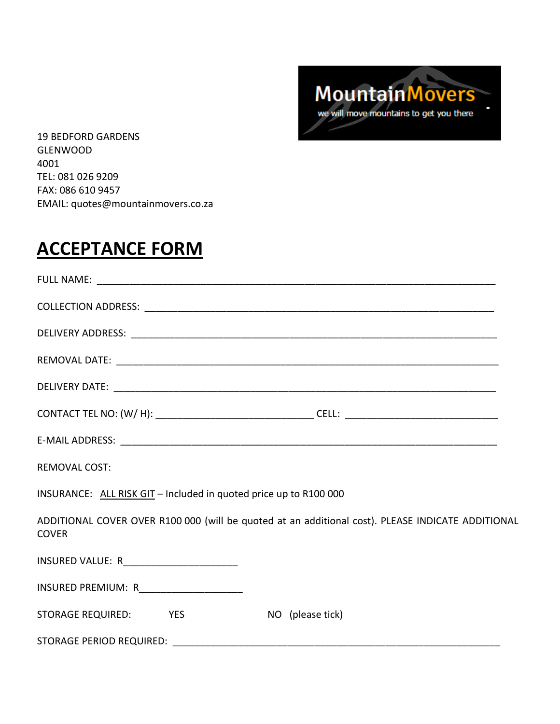

19 BEDFORD GARDENS GLENWOOD 4001 TEL: 081 026 9209 FAX: 086 610 9457 EMAIL: quotes@mountainmovers.co.za

## **ACCEPTANCE FORM**

| <b>REMOVAL COST:</b>                                                                                              |  |  |
|-------------------------------------------------------------------------------------------------------------------|--|--|
| INSURANCE: ALL RISK GIT - Included in quoted price up to R100 000                                                 |  |  |
| ADDITIONAL COVER OVER R100 000 (will be quoted at an additional cost). PLEASE INDICATE ADDITIONAL<br><b>COVER</b> |  |  |
| INSURED VALUE: R_________________________                                                                         |  |  |
| INSURED PREMIUM: R_____________________                                                                           |  |  |
| STORAGE REQUIRED: YES NO (please tick)                                                                            |  |  |
|                                                                                                                   |  |  |